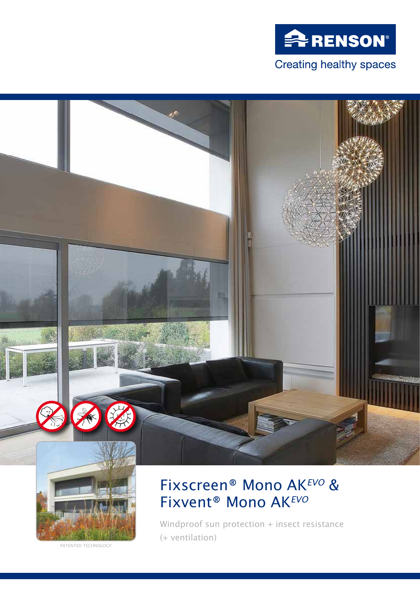



PATENTED TECHNOLOGY

# Fixscreen® Mono AK*EVO* & Fixvent® Mono AK*EVO*

Windproof sun protection + insect resistance (+ ventilation)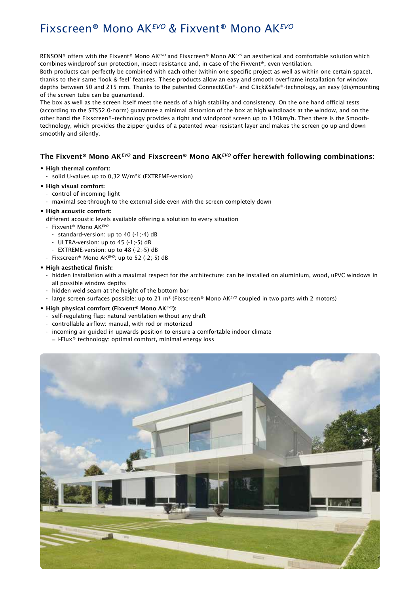## Fixscreen® Mono AK*EVO* & Fixvent® Mono AK*EVO*

RENSON® offers with the Fixvent® Mono AK*EVO* and Fixscreen® Mono AK*EVO* an aesthetical and comfortable solution which combines windproof sun protection, insect resistance and, in case of the Fixvent®, even ventilation.

Both products can perfectly be combined with each other (within one specific project as well as within one certain space), thanks to their same 'look & feel' features. These products allow an easy and smooth overframe installation for window depths between 50 and 215 mm. Thanks to the patented Connect&Go®- and Click&Safe®-technology, an easy (dis)mounting of the screen tube can be guaranteed.

The box as well as the screen itself meet the needs of a high stability and consistency. On the one hand official tests (according to the STS52.0-norm) guarantee a minimal distortion of the box at high windloads at the window, and on the other hand the Fixscreen®–technology provides a tight and windproof screen up to 130km/h. Then there is the Smoothtechnology, which provides the zipper guides of a patented wear-resistant layer and makes the screen go up and down smoothly and silently.

#### The Fixvent® Mono AK*EVO* and Fixscreen® Mono AK*EVO* offer herewith following combinations:

#### **•** High thermal comfort:

- solid U-values up to 0,32 W/m²K (EXTREME-version)

#### **•** High visual comfort:

- control of incoming light
- maximal see-through to the external side even with the screen completely down

#### **•** High acoustic comfort:

- different acoustic levels available offering a solution to every situation
- Fixvent® Mono AK*EVO*
	- standard-version: up to 40 (-1;-4) dB
	- ULTRA-version: up to 45 (-1;-5) dB
	- EXTREME-version: up to 48 (-2;-5) dB
- Fixscreen® Mono AK*EVO*: up to 52 (-2;-5) dB

#### **•** High aesthetical finish:

- hidden installation with a maximal respect for the architecture: can be installed on aluminium, wood, uPVC windows in all possible window depths
- hidden weld seam at the height of the bottom bar
- large screen surfaces possible: up to 21 m² (Fixscreen® Mono AK*EVO* coupled in two parts with 2 motors)

#### **•** High physical comfort (Fixvent® Mono AK*EVO*):

- self-regulating flap: natural ventilation without any draft
- controllable airflow: manual, with rod or motorized
- incoming air guided in upwards position to ensure a comfortable indoor climate
- = i-Flux® technology: optimal comfort, minimal energy loss

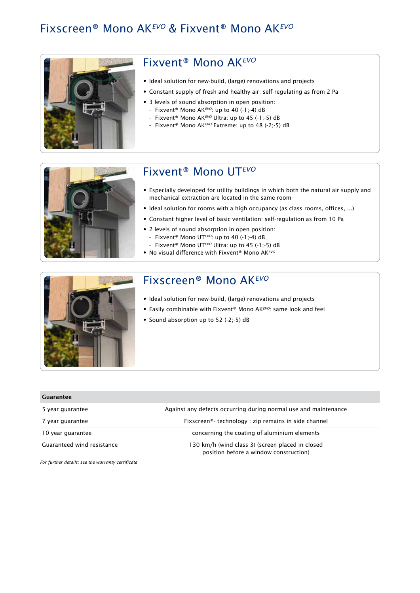### Fixscreen® Mono AK*EVO* & Fixvent® Mono AK*EVO*



### Fixvent® Mono AK*EVO*

- Ideal solution for new-build, (large) renovations and projects
- Constant supply of fresh and healthy air: self-regulating as from 2 Pa
- 3 levels of sound absorption in open position:
	- Fixvent® Mono AK*EVO*: up to 40 (-1;-4) dB
	- Fixvent® Mono AK*EVO* Ultra: up to 45 (-1;-5) dB
	- Fixvent® Mono AK*EVO* Extreme: up to 48 (-2;-5) dB



## Fixvent® Mono UT*EVO*

- Especially developed for utility buildings in which both the natural air supply and mechanical extraction are located in the same room
- Ideal solution for rooms with a high occupancy (as class rooms, offices, ...)
- Constant higher level of basic ventilation: self-regulation as from 10 Pa
- 2 levels of sound absorption in open position:
- Fixvent® Mono UT*EVO*: up to 40 (-1;-4) dB
- Fixvent® Mono UT*EVO* Ultra: up to 45 (-1;-5) dB
- No visual difference with Fixvent® Mono AK*EVO*



### Fixscreen® Mono AK*EVO*

- Ideal solution for new-build, (large) renovations and projects
- Easily combinable with Fixvent® Mono AK<sup>*EVO*:</sup> same look and feel
- Sound absorption up to 52 (-2;-5)  $dB$

| Guarantee                  |                                                                                            |
|----------------------------|--------------------------------------------------------------------------------------------|
| 5 year guarantee           | Against any defects occurring during normal use and maintenance                            |
| 7 year guarantee           | Fixscreen®-technology : zip remains in side channel                                        |
| 10 year guarantee          | concerning the coating of aluminium elements                                               |
| Guaranteed wind resistance | 130 km/h (wind class 3) (screen placed in closed<br>position before a window construction) |

*For further details: see the warranty certificate*